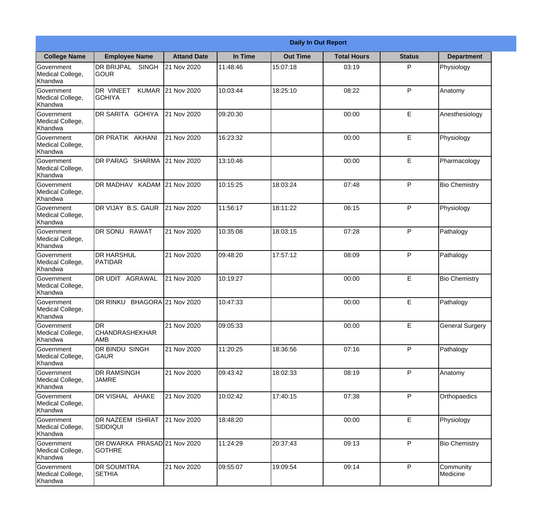|                                           |                                                  |                     |          | <b>Daily In Out Report</b> |                    |               |                        |
|-------------------------------------------|--------------------------------------------------|---------------------|----------|----------------------------|--------------------|---------------|------------------------|
| <b>College Name</b>                       | <b>Employee Name</b>                             | <b>Attand Date</b>  | In Time  | <b>Out Time</b>            | <b>Total Hours</b> | <b>Status</b> | <b>Department</b>      |
| Government<br>Medical College,<br>Khandwa | <b>DR BRIJPAL</b><br><b>SINGH</b><br><b>GOUR</b> | 21 Nov 2020         | 11:48:46 | 15:07:18                   | 03:19              | P             | Physiology             |
| Government<br>Medical College,<br>Khandwa | DR VINEET<br><b>KUMAR</b><br><b>GOHIYA</b>       | 21 Nov 2020         | 10:03:44 | 18:25:10                   | 08:22              | P             | Anatomy                |
| Government<br>Medical College,<br>Khandwa | DR SARITA GOHIYA                                 | 21 Nov 2020         | 09:20:30 |                            | 00:00              | E             | Anesthesiology         |
| Government<br>Medical College,<br>Khandwa | DR PRATIK AKHANI                                 | 21 Nov 2020         | 16:23:32 |                            | 00:00              | E             | Physiology             |
| Government<br>Medical College,<br>Khandwa | DR PARAG SHARMA                                  | 21 Nov 2020         | 13:10:46 |                            | 00:00              | E             | Pharmacology           |
| Government<br>Medical College,<br>Khandwa | DR MADHAV KADAM 21 Nov 2020                      |                     | 10:15:25 | 18:03:24                   | 07:48              | P             | <b>Bio Chemistry</b>   |
| Government<br>Medical College,<br>Khandwa | DR VIJAY B.S. GAUR                               | 21 Nov 2020         | 11:56:17 | 18:11:22                   | 06:15              | P             | Physiology             |
| Government<br>Medical College,<br>Khandwa | DR SONU RAWAT                                    | 21 Nov 2020         | 10:35:08 | 18:03:15                   | 07:28              | P             | Pathalogy              |
| Government<br>Medical College,<br>Khandwa | <b>DR HARSHUL</b><br>PATIDAR                     | 21 Nov 2020         | 09:48:20 | 17:57:12                   | 08:09              | P             | Pathalogy              |
| Government<br>Medical College,<br>Khandwa | DR UDIT AGRAWAL                                  | 21 Nov 2020         | 10:19:27 |                            | 00:00              | E             | <b>Bio Chemistry</b>   |
| Government<br>Medical College,<br>Khandwa | <b>DR RINKU</b>                                  | BHAGORA 21 Nov 2020 | 10:47:33 |                            | 00:00              | E             | Pathalogy              |
| Government<br>Medical College,<br>Khandwa | <b>DR</b><br><b>CHANDRASHEKHAR</b><br><b>AMB</b> | 21 Nov 2020         | 09:05:33 |                            | 00:00              | E             | <b>General Surgery</b> |
| Government<br>Medical College,<br>Khandwa | DR BINDU SINGH<br><b>GAUR</b>                    | 21 Nov 2020         | 11:20:25 | 18:36:56                   | 07:16              | P             | Pathalogy              |
| Government<br>Medical College,<br>Khandwa | DR RAMSINGH<br><b>JAMRE</b>                      | 21 Nov 2020         | 09:43:42 | 18:02:33                   | 08:19              | P             | Anatomy                |
| Government<br>Medical College,<br>Khandwa | DR VISHAL AHAKE                                  | 21 Nov 2020         | 10:02:42 | 17:40:15                   | 07:38              | P             | Orthopaedics           |
| Government<br>Medical College,<br>Khandwa | <b>DR NAZEEM ISHRAT</b><br>SIDDIQUI              | 21 Nov 2020         | 18:48:20 |                            | 00:00              | E             | Physiology             |
| Government<br>Medical College,<br>Khandwa | DR DWARKA PRASAD 21 Nov 2020<br><b>GOTHRE</b>    |                     | 11:24:29 | 20:37:43                   | 09:13              | P             | <b>Bio Chemistry</b>   |
| Government<br>Medical College,<br>Khandwa | DR SOUMITRA<br><b>SETHIA</b>                     | 21 Nov 2020         | 09:55:07 | 19:09:54                   | 09:14              | P             | Community<br>Medicine  |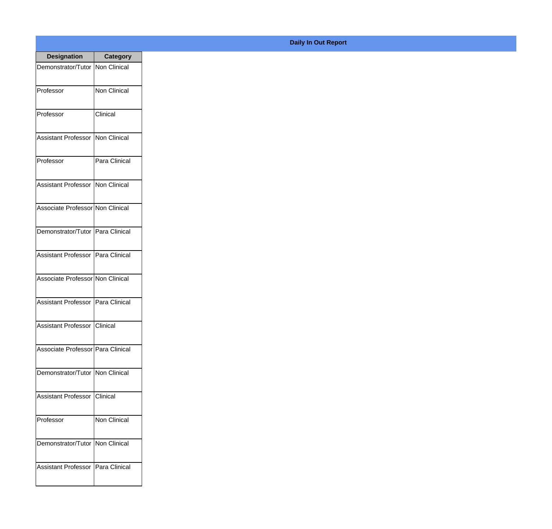| <b>Designation</b>                  | <b>Category</b> |
|-------------------------------------|-----------------|
| Demonstrator/Tutor   Non Clinical   |                 |
| Professor                           | Non Clinical    |
| Professor                           | Clinical        |
| <b>Assistant Professor</b>          | Non Clinical    |
| Professor                           | Para Clinical   |
| Assistant Professor                 | Non Clinical    |
| Associate Professor Non Clinical    |                 |
| Demonstrator/Tutor   Para Clinical  |                 |
| Assistant Professor   Para Clinical |                 |
| Associate Professor Non Clinical    |                 |
| <b>Assistant Professor</b>          | Para Clinical   |
| Assistant Professor Clinical        |                 |
| Associate Professor Para Clinical   |                 |
| Demonstrator/Tutor   Non Clinical   |                 |
| Assistant Professor                 | Clinical        |
| Professor                           | Non Clinical    |
| Demonstrator/Tutor                  | Non Clinical    |
| <b>Assistant Professor</b>          | Para Clinical   |

## **Daily In Out Report**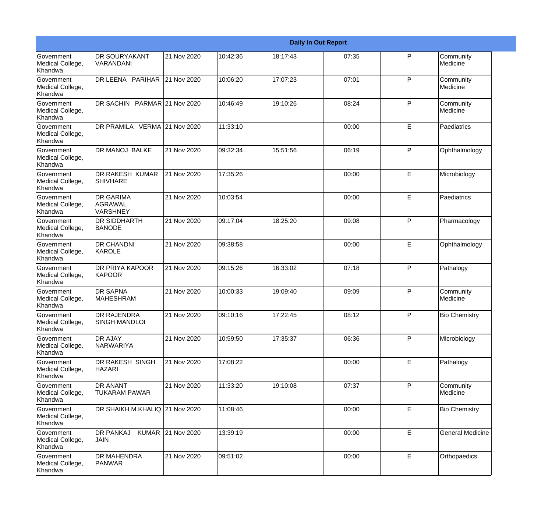|                                                  |                                                 |                   |          |          | <b>Daily In Out Report</b> |              |                         |
|--------------------------------------------------|-------------------------------------------------|-------------------|----------|----------|----------------------------|--------------|-------------------------|
| Government<br>Medical College,<br>Khandwa        | <b>DR SOURYAKANT</b><br><b>VARANDANI</b>        | 21 Nov 2020       | 10:42:36 | 18:17:43 | 07:35                      | P            | Community<br>Medicine   |
| Government<br>Medical College,<br>Khandwa        | DR LEENA PARIHAR                                | 21 Nov 2020       | 10:06:20 | 17:07:23 | 07:01                      | P            | Community<br>Medicine   |
| <b>Government</b><br>Medical College,<br>Khandwa | DR SACHIN PARMAR 21 Nov 2020                    |                   | 10:46:49 | 19:10:26 | 08:24                      | P            | Community<br>Medicine   |
| <b>Government</b><br>Medical College,<br>Khandwa | DR PRAMILA VERMA 21 Nov 2020                    |                   | 11:33:10 |          | 00:00                      | E            | Paediatrics             |
| Government<br>Medical College,<br>Khandwa        | <b>DR MANOJ BALKE</b>                           | 21 Nov 2020       | 09:32:34 | 15:51:56 | 06:19                      | P            | Ophthalmology           |
| Government<br>Medical College,<br>Khandwa        | <b>DR RAKESH KUMAR</b><br><b>SHIVHARE</b>       | 21 Nov 2020       | 17:35:26 |          | 00:00                      | E            | Microbiology            |
| Government<br>Medical College,<br>Khandwa        | <b>DR GARIMA</b><br>lagrawal<br><b>VARSHNEY</b> | 21 Nov 2020       | 10:03:54 |          | 00:00                      | E            | Paediatrics             |
| Government<br>Medical College,<br>Khandwa        | <b>DR SIDDHARTH</b><br><b>BANODE</b>            | 21 Nov 2020       | 09:17:04 | 18:25:20 | 09:08                      | $\mathsf{P}$ | Pharmacology            |
| Government<br>Medical College,<br>Khandwa        | <b>DR CHANDNI</b><br>KAROLE                     | 21 Nov 2020       | 09:38:58 |          | 00:00                      | E            | Ophthalmology           |
| <b>Government</b><br>Medical College,<br>Khandwa | <b>DR PRIYA KAPOOR</b><br>KAPOOR                | 21 Nov 2020       | 09:15:26 | 16:33:02 | 07:18                      | P            | Pathalogy               |
| <b>Government</b><br>Medical College,<br>Khandwa | <b>DR SAPNA</b><br><b>MAHESHRAM</b>             | 21 Nov 2020       | 10:00:33 | 19:09:40 | 09:09                      | P            | Community<br>Medicine   |
| Government<br>Medical College,<br>Khandwa        | <b>DR RAJENDRA</b><br><b>SINGH MANDLOI</b>      | 21 Nov 2020       | 09:10:16 | 17:22:45 | 08:12                      | P            | <b>Bio Chemistry</b>    |
| Government<br>Medical College,<br>Khandwa        | <b>DR AJAY</b><br>NARWARIYA                     | 21 Nov 2020       | 10:59:50 | 17:35:37 | 06:36                      | $\mathsf{P}$ | Microbiology            |
| Government<br>Medical College,<br>Khandwa        | DR RAKESH SINGH<br><b>HAZARI</b>                | 21 Nov 2020       | 17:08:22 |          | 00:00                      | E            | Pathalogy               |
| Government<br>Medical College,<br>Khandwa        | <b>DR ANANT</b><br><b>TUKARAM PAWAR</b>         | 21 Nov 2020       | 11:33:20 | 19:10:08 | 07:37                      | P            | Community<br>Medicine   |
| Government<br>Medical College,<br>Khandwa        | DR SHAIKH M.KHALIQ 21 Nov 2020                  |                   | 11:08:46 |          | 00:00                      | E            | <b>Bio Chemistry</b>    |
| Government<br>Medical College,<br>Khandwa        | <b>DR PANKAJ</b><br><b>JAIN</b>                 | KUMAR 21 Nov 2020 | 13:39:19 |          | 00:00                      | $\mathsf E$  | <b>General Medicine</b> |
| Government<br>Medical College,<br>Khandwa        | <b>DR MAHENDRA</b><br>PANWAR                    | 21 Nov 2020       | 09:51:02 |          | 00:00                      | E            | Orthopaedics            |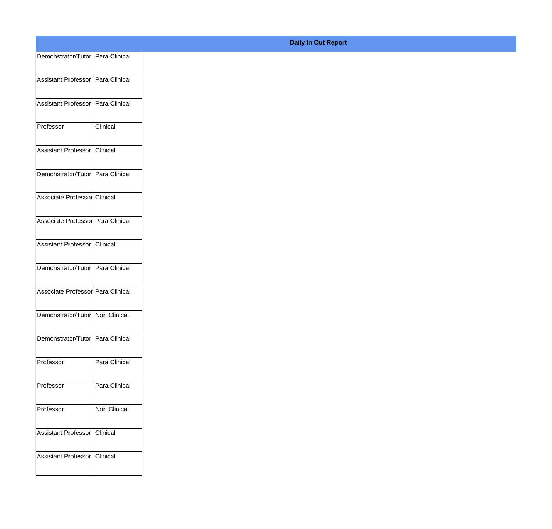| Demonstrator/Tutor Para Clinical  |               |
|-----------------------------------|---------------|
| Assistant Professor Para Clinical |               |
|                                   |               |
| Assistant Professor Para Clinical |               |
| Professor                         | Clinical      |
|                                   |               |
| Assistant Professor Clinical      |               |
| Demonstrator/Tutor Para Clinical  |               |
|                                   |               |
| Associate Professor Clinical      |               |
| Associate Professor Para Clinical |               |
| Assistant Professor Clinical      |               |
|                                   |               |
| Demonstrator/Tutor Para Clinical  |               |
| Associate Professor Para Clinical |               |
|                                   |               |
| Demonstrator/Tutor Non Clinical   |               |
| Demonstrator/Tutor Para Clinical  |               |
| Professor                         | Para Clinical |
|                                   |               |
| Professor                         | Para Clinical |
| Professor                         | Non Clinical  |
|                                   |               |
| Assistant Professor               | Clinical      |
| Assistant Professor Clinical      |               |
|                                   |               |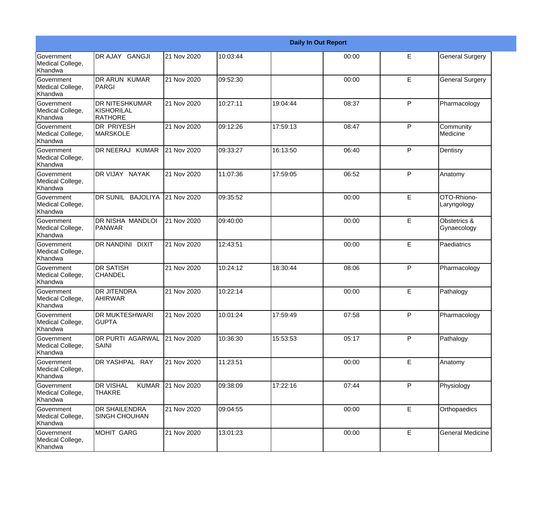|                                                  |                                                   |             |          |          | <b>Daily In Out Report</b> |   |                             |
|--------------------------------------------------|---------------------------------------------------|-------------|----------|----------|----------------------------|---|-----------------------------|
| Government<br>Medical College,<br>Khandwa        | DR AJAY GANGJI                                    | 21 Nov 2020 | 10:03:44 |          | 00:00                      | E | <b>General Surgery</b>      |
| Government<br>Medical College,<br>Khandwa        | DR ARUN KUMAR<br>PARGI                            | 21 Nov 2020 | 09:52:30 |          | 00:00                      | E | <b>General Surgery</b>      |
| <b>Government</b><br>Medical College,<br>Khandwa | <b>DR NITESHKUMAR</b><br>KISHORILAL<br>RATHORE    | 21 Nov 2020 | 10:27:11 | 19:04:44 | 08:37                      | P | Pharmacology                |
| Government<br>Medical College,<br>Khandwa        | <b>DR PRIYESH</b><br>MARSKOLE                     | 21 Nov 2020 | 09:12:26 | 17:59:13 | 08:47                      | P | Community<br>Medicine       |
| Government<br>Medical College,<br>Khandwa        | DR NEERAJ KUMAR                                   | 21 Nov 2020 | 09:33:27 | 16:13:50 | 06:40                      | P | Dentisry                    |
| Government<br>Medical College,<br>Khandwa        | DR VIJAY NAYAK                                    | 21 Nov 2020 | 11:07:36 | 17:59:05 | 06:52                      | P | Anatomy                     |
| Government<br>Medical College,<br>Khandwa        | DR SUNIL BAJOLIYA                                 | 21 Nov 2020 | 09:35:52 |          | 00:00                      | E | OTO-Rhiono-<br>Laryngology  |
| <b>Government</b><br>Medical College,<br>Khandwa | DR NISHA MANDLOI<br>PANWAR                        | 21 Nov 2020 | 09:40:00 |          | 00:00                      | E | Obstetrics &<br>Gynaecology |
| Government<br>Medical College,<br>Khandwa        | DR NANDINI DIXIT                                  | 21 Nov 2020 | 12:43:51 |          | 00:00                      | E | Paediatrics                 |
| Government<br>Medical College,<br>Khandwa        | <b>DR SATISH</b><br>CHANDEL                       | 21 Nov 2020 | 10:24:12 | 18:30:44 | 08:06                      | P | Pharmacology                |
| <b>Government</b><br>Medical College,<br>Khandwa | <b>DR JITENDRA</b><br><b>AHIRWAR</b>              | 21 Nov 2020 | 10:22:14 |          | 00:00                      | E | Pathalogy                   |
| Government<br>Medical College,<br>Khandwa        | <b>DR MUKTESHWARI</b><br><b>GUPTA</b>             | 21 Nov 2020 | 10:01:24 | 17:59:49 | 07:58                      | P | Pharmacology                |
| Government<br>Medical College,<br>Khandwa        | DR PURTI AGARWAL<br><b>SAINI</b>                  | 21 Nov 2020 | 10:36:30 | 15:53:53 | 05:17                      | P | Pathalogy                   |
| Government<br>Medical College,<br>Khandwa        | DR YASHPAL RAY                                    | 21 Nov 2020 | 11:23:51 |          | 00:00                      | E | Anatomy                     |
| Government<br>Medical College,<br>Khandwa        | <b>DR VISHAL</b><br><b>KUMAR</b><br><b>THAKRE</b> | 21 Nov 2020 | 09:38:09 | 17:22:16 | 07:44                      | P | Physiology                  |
| Government<br>Medical College,<br>Khandwa        | <b>DR SHAILENDRA</b><br><b>SINGH CHOUHAN</b>      | 21 Nov 2020 | 09:04:55 |          | 00:00                      | E | Orthopaedics                |
| Government<br>Medical College,<br>Khandwa        | MOHIT GARG                                        | 21 Nov 2020 | 13:01:23 |          | 00:00                      | E | <b>General Medicine</b>     |